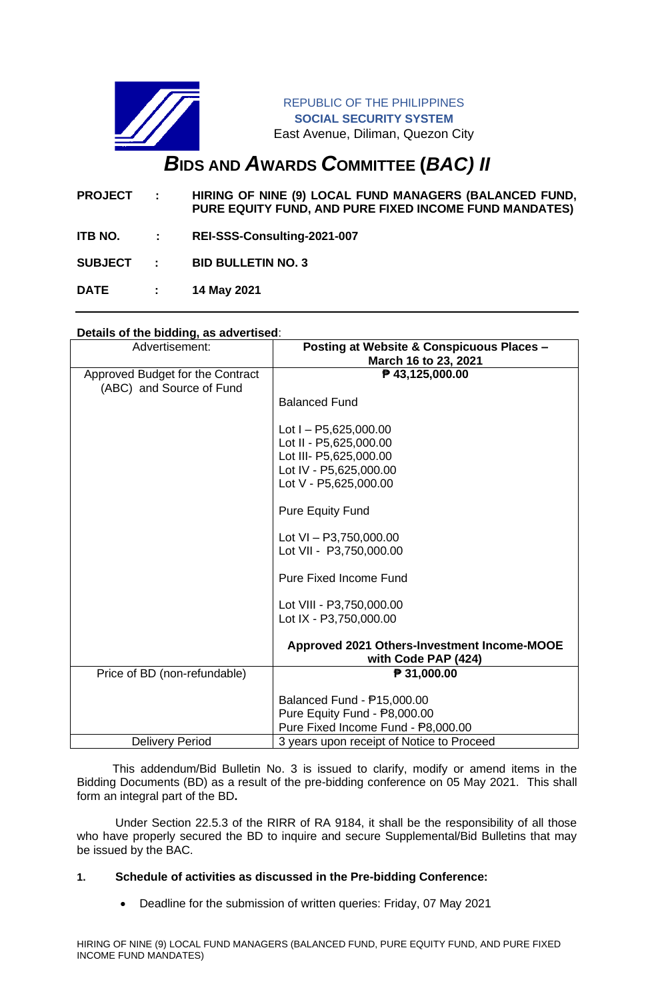

REPUBLIC OF THE PHILIPPINES **SOCIAL SECURITY SYSTEM** East Avenue, Diliman, Quezon City

# *B***IDS AND** *A***WARDS** *C***OMMITTEE (***BAC) II*

- **PROJECT : HIRING OF NINE (9) LOCAL FUND MANAGERS (BALANCED FUND, PURE EQUITY FUND, AND PURE FIXED INCOME FUND MANDATES)**
- **ITB NO. : REI-SSS-Consulting-2021-007**
- **SUBJECT : BID BULLETIN NO. 3**
- **DATE : 14 May 2021**

# **Details of the bidding, as advertised**:

| Advertisement:                                               | Posting at Website & Conspicuous Places -<br>March 16 to 23, 2021               |
|--------------------------------------------------------------|---------------------------------------------------------------------------------|
| Approved Budget for the Contract<br>(ABC) and Source of Fund | ₱ 43,125,000.00                                                                 |
|                                                              | <b>Balanced Fund</b>                                                            |
|                                                              | Lot $I - P5,625,000.00$<br>Lot II - P5,625,000.00                               |
|                                                              | Lot III- P5,625,000.00                                                          |
|                                                              | Lot IV - P5,625,000.00<br>Lot V - P5,625,000.00                                 |
|                                                              |                                                                                 |
|                                                              | <b>Pure Equity Fund</b>                                                         |
|                                                              | Lot $VI - P3,750,000.00$                                                        |
|                                                              | Lot VII - P3,750,000.00                                                         |
|                                                              | <b>Pure Fixed Income Fund</b>                                                   |
|                                                              | Lot VIII - P3,750,000.00                                                        |
|                                                              | Lot IX - P3,750,000.00                                                          |
|                                                              | Approved 2021 Others-Investment Income-MOOE<br>with Code PAP (424)              |
| Price of BD (non-refundable)                                 | ₱ 31,000.00                                                                     |
|                                                              | Balanced Fund - P15,000.00                                                      |
|                                                              | Pure Equity Fund - P8,000.00                                                    |
| <b>Delivery Period</b>                                       | Pure Fixed Income Fund - P8,000.00<br>3 years upon receipt of Notice to Proceed |

 This addendum/Bid Bulletin No. 3 is issued to clarify, modify or amend items in the Bidding Documents (BD) as a result of the pre-bidding conference on 05 May 2021. This shall form an integral part of the BD**.**

Under Section 22.5.3 of the RIRR of RA 9184, it shall be the responsibility of all those who have properly secured the BD to inquire and secure Supplemental/Bid Bulletins that may be issued by the BAC.

## **1. Schedule of activities as discussed in the Pre-bidding Conference:**

• Deadline for the submission of written queries: Friday, 07 May 2021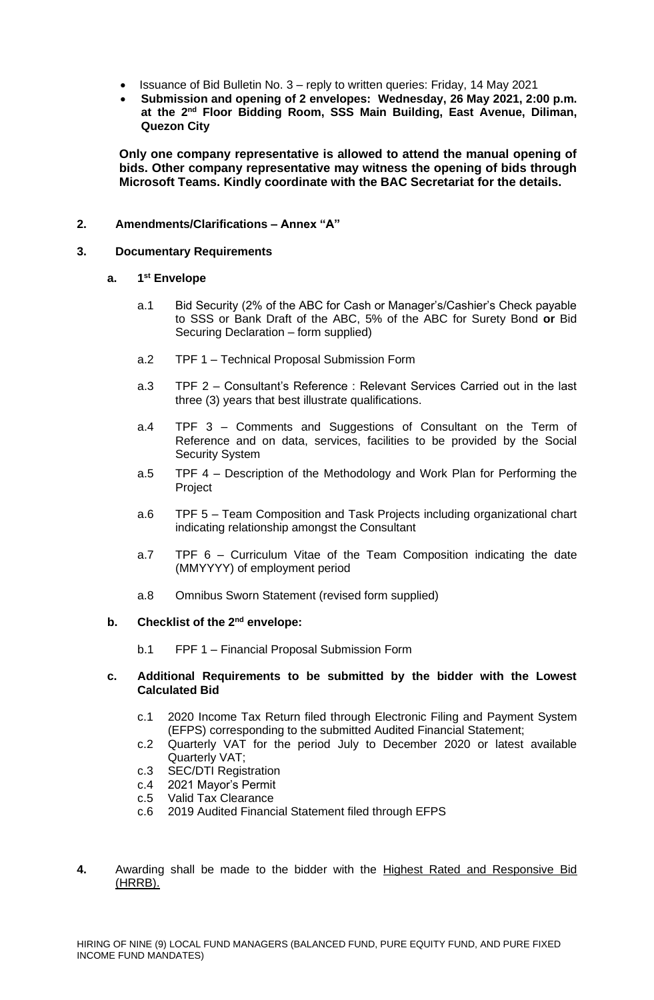- Issuance of Bid Bulletin No. 3 reply to written queries: Friday, 14 May 2021
- **Submission and opening of 2 envelopes: Wednesday, 26 May 2021, 2:00 p.m. at the 2 nd Floor Bidding Room, SSS Main Building, East Avenue, Diliman, Quezon City**

**Only one company representative is allowed to attend the manual opening of bids. Other company representative may witness the opening of bids through Microsoft Teams. Kindly coordinate with the BAC Secretariat for the details.**

### **2. Amendments/Clarifications – Annex "A"**

### **3. Documentary Requirements**

#### **a. 1 st Envelope**

- a.1 Bid Security (2% of the ABC for Cash or Manager's/Cashier's Check payable to SSS or Bank Draft of the ABC, 5% of the ABC for Surety Bond **or** Bid Securing Declaration – form supplied)
- a.2 TPF 1 Technical Proposal Submission Form
- a.3 TPF 2 Consultant's Reference : Relevant Services Carried out in the last three (3) years that best illustrate qualifications.
- a.4 TPF 3 Comments and Suggestions of Consultant on the Term of Reference and on data, services, facilities to be provided by the Social Security System
- a.5 TPF 4 Description of the Methodology and Work Plan for Performing the Project
- a.6 TPF 5 Team Composition and Task Projects including organizational chart indicating relationship amongst the Consultant
- a.7 TPF 6 Curriculum Vitae of the Team Composition indicating the date (MMYYYY) of employment period
- a.8 Omnibus Sworn Statement (revised form supplied)

#### **b. Checklist of the 2nd envelope:**

b.1 FPF 1 – Financial Proposal Submission Form

#### **c. Additional Requirements to be submitted by the bidder with the Lowest Calculated Bid**

- c.1 2020 Income Tax Return filed through Electronic Filing and Payment System (EFPS) corresponding to the submitted Audited Financial Statement;
- c.2 Quarterly VAT for the period July to December 2020 or latest available Quarterly VAT;
- c.3 SEC/DTI Registration
- c.4 2021 Mayor's Permit
- c.5 Valid Tax Clearance
- c.6 2019 Audited Financial Statement filed through EFPS
- **4.** Awarding shall be made to the bidder with the Highest Rated and Responsive Bid  $(HRRB)$ .